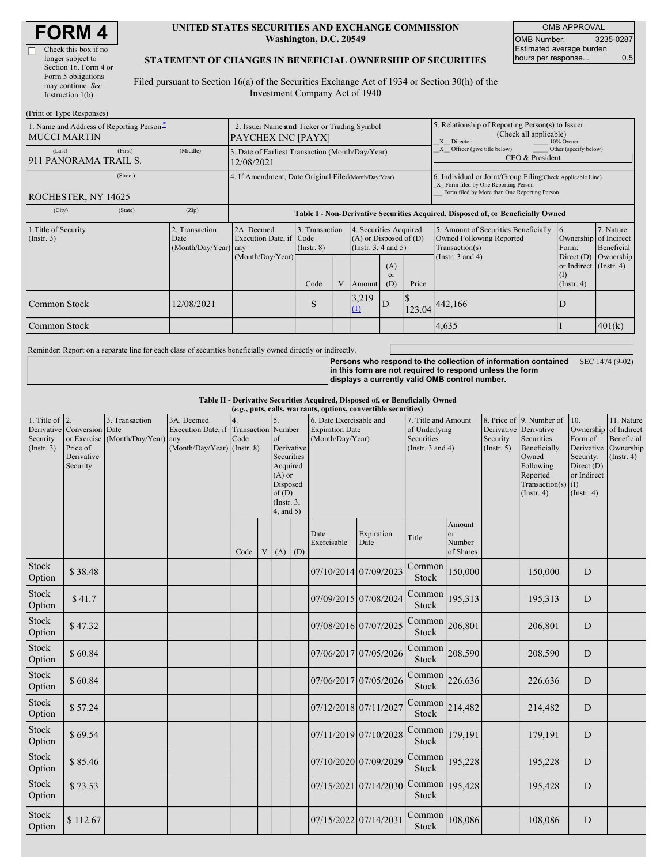| <b>FORM4</b> |
|--------------|
|--------------|

#### **UNITED STATES SECURITIES AND EXCHANGE COMMISSION Washington, D.C. 20549**

OMB APPROVAL OMB Number: 3235-0287 Estimated average burden hours per response... 0.5

### **STATEMENT OF CHANGES IN BENEFICIAL OWNERSHIP OF SECURITIES**

Filed pursuant to Section 16(a) of the Securities Exchange Act of 1934 or Section 30(h) of the Investment Company Act of 1940

| (Print or Type Responses)                                       |                                                                   |                                                      |                                                                                  |                                   |  |                                                                                                       |                             |                                                                                                                                                    |                                                                                    |                                                               |                         |
|-----------------------------------------------------------------|-------------------------------------------------------------------|------------------------------------------------------|----------------------------------------------------------------------------------|-----------------------------------|--|-------------------------------------------------------------------------------------------------------|-----------------------------|----------------------------------------------------------------------------------------------------------------------------------------------------|------------------------------------------------------------------------------------|---------------------------------------------------------------|-------------------------|
| 1. Name and Address of Reporting Person-<br><b>MUCCI MARTIN</b> | 2. Issuer Name and Ticker or Trading Symbol<br>PAYCHEX INC [PAYX] |                                                      |                                                                                  |                                   |  | 5. Relationship of Reporting Person(s) to Issuer<br>(Check all applicable)<br>X Director<br>10% Owner |                             |                                                                                                                                                    |                                                                                    |                                                               |                         |
| (Last)<br>1911 PANORAMA TRAIL S.                                | (First)                                                           | (Middle)                                             | 3. Date of Earliest Transaction (Month/Day/Year)<br>12/08/2021                   |                                   |  |                                                                                                       |                             |                                                                                                                                                    | Other (specify below)<br>Officer (give title below)<br>CEO & President             |                                                               |                         |
| ROCHESTER, NY 14625                                             |                                                                   | 4. If Amendment, Date Original Filed(Month/Day/Year) |                                                                                  |                                   |  |                                                                                                       |                             | 6. Individual or Joint/Group Filing(Check Applicable Line)<br>X Form filed by One Reporting Person<br>Form filed by More than One Reporting Person |                                                                                    |                                                               |                         |
| (City)                                                          | (State)                                                           | (Zip)                                                | Table I - Non-Derivative Securities Acquired, Disposed of, or Beneficially Owned |                                   |  |                                                                                                       |                             |                                                                                                                                                    |                                                                                    |                                                               |                         |
| 1. Title of Security<br>(Insert. 3)                             |                                                                   | 2. Transaction<br>Date<br>(Month/Day/Year) any       | 2A. Deemed<br>Execution Date, if Code<br>(Month/Day/Year)                        | 3. Transaction<br>$($ Instr. $8)$ |  | 4. Securities Acquired<br>$(A)$ or Disposed of $(D)$<br>(Insert. 3, 4 and 5)                          |                             |                                                                                                                                                    | 5. Amount of Securities Beneficially<br>Owned Following Reported<br>Transaction(s) | 6.<br>Ownership of Indirect<br>Form:                          | 7. Nature<br>Beneficial |
|                                                                 |                                                                   |                                                      |                                                                                  | Code                              |  | Amount                                                                                                | (A)<br><sub>or</sub><br>(D) | Price                                                                                                                                              | (Instr. $3$ and $4$ )                                                              | Direct $(D)$<br>or Indirect (Instr. 4)<br>$($ I<br>(Insert 4) | Ownership               |
| Common Stock                                                    |                                                                   | 12/08/2021                                           |                                                                                  | S                                 |  | 3,219<br>(1)                                                                                          | D                           | 123.04                                                                                                                                             | 442,166                                                                            | D                                                             |                         |
| Common Stock                                                    |                                                                   |                                                      |                                                                                  |                                   |  |                                                                                                       |                             |                                                                                                                                                    | 4,635                                                                              |                                                               | 401(k)                  |

Reminder: Report on a separate line for each class of securities beneficially owned directly or indirectly.

**Persons who respond to the collection of information contained in this form are not required to respond unless the form displays a currently valid OMB control number.** SEC 1474 (9-02)

**Table II - Derivative Securities Acquired, Disposed of, or Beneficially Owned**

| (e.g., puts, calls, warrants, options, convertible securities) |                                                                  |                                                |                                                                                           |      |             |                                                                                                                       |  |                                                                                                                                                      |                       |                                       |                                                                                                                                              |                                                                                                           |                                                                          |             |  |
|----------------------------------------------------------------|------------------------------------------------------------------|------------------------------------------------|-------------------------------------------------------------------------------------------|------|-------------|-----------------------------------------------------------------------------------------------------------------------|--|------------------------------------------------------------------------------------------------------------------------------------------------------|-----------------------|---------------------------------------|----------------------------------------------------------------------------------------------------------------------------------------------|-----------------------------------------------------------------------------------------------------------|--------------------------------------------------------------------------|-------------|--|
| 1. Title of $\vert$ 2.<br>Security<br>(Insert. 3)              | Derivative Conversion Date<br>Price of<br>Derivative<br>Security | 3. Transaction<br>or Exercise (Month/Day/Year) | 3A. Deemed<br>Execution Date, if Transaction Number<br>any<br>(Month/Day/Year) (Instr. 8) | Code |             | 5.<br>of<br>Derivative<br>Securities<br>Acquired<br>$(A)$ or<br>Disposed<br>of(D)<br>(Instr. $3$ ,<br>$4$ , and $5$ ) |  | 6. Date Exercisable and<br>7. Title and Amount<br><b>Expiration Date</b><br>of Underlying<br>(Month/Day/Year)<br>Securities<br>(Instr. $3$ and $4$ ) |                       | Derivative<br>Security<br>(Insert. 5) | 8. Price of 9. Number of<br>Derivative<br>Securities<br>Beneficially<br>Owned<br>Following<br>Reported<br>Transaction(s)<br>$($ Instr. 4 $)$ | 10.<br>Ownership<br>Form of<br>Derivative<br>Security:<br>Direct (D)<br>or Indirect<br>(I)<br>(Insert. 4) | 11. Nature<br>of Indirect<br>Beneficial<br>Ownership<br>$($ Instr. 4 $)$ |             |  |
|                                                                |                                                                  |                                                |                                                                                           | Code | $\mathbf V$ | $(A)$ $(D)$                                                                                                           |  | Date<br>Exercisable                                                                                                                                  | Expiration<br>Date    | Title                                 | Amount<br><sub>or</sub><br>Number<br>of Shares                                                                                               |                                                                                                           |                                                                          |             |  |
| Stock<br>Option                                                | \$38.48                                                          |                                                |                                                                                           |      |             |                                                                                                                       |  |                                                                                                                                                      | 07/10/2014 07/09/2023 | Common<br>Stock                       | 150,000                                                                                                                                      |                                                                                                           | 150,000                                                                  | D           |  |
| Stock<br>Option                                                | \$41.7                                                           |                                                |                                                                                           |      |             |                                                                                                                       |  |                                                                                                                                                      | 07/09/2015 07/08/2024 | Common<br>Stock                       | 195,313                                                                                                                                      |                                                                                                           | 195,313                                                                  | D           |  |
| Stock<br>Option                                                | \$47.32                                                          |                                                |                                                                                           |      |             |                                                                                                                       |  |                                                                                                                                                      | 07/08/2016 07/07/2025 | Common<br>Stock                       | 206,801                                                                                                                                      |                                                                                                           | 206,801                                                                  | D           |  |
| Stock<br>Option                                                | \$60.84                                                          |                                                |                                                                                           |      |             |                                                                                                                       |  |                                                                                                                                                      | 07/06/2017 07/05/2026 | Common<br>Stock                       | 208,590                                                                                                                                      |                                                                                                           | 208,590                                                                  | D           |  |
| Stock<br>Option                                                | \$60.84                                                          |                                                |                                                                                           |      |             |                                                                                                                       |  |                                                                                                                                                      | 07/06/2017 07/05/2026 | Common<br>Stock                       | 226,636                                                                                                                                      |                                                                                                           | 226,636                                                                  | D           |  |
| <b>Stock</b><br>Option                                         | \$57.24                                                          |                                                |                                                                                           |      |             |                                                                                                                       |  |                                                                                                                                                      | 07/12/2018 07/11/2027 | Common<br>Stock                       | 214,482                                                                                                                                      |                                                                                                           | 214,482                                                                  | D           |  |
| Stock<br>Option                                                | \$69.54                                                          |                                                |                                                                                           |      |             |                                                                                                                       |  |                                                                                                                                                      | 07/11/2019 07/10/2028 | Common<br>Stock                       | 179,191                                                                                                                                      |                                                                                                           | 179,191                                                                  | D           |  |
| Stock<br>Option                                                | \$85.46                                                          |                                                |                                                                                           |      |             |                                                                                                                       |  |                                                                                                                                                      | 07/10/2020 07/09/2029 | Common<br>Stock                       | 195,228                                                                                                                                      |                                                                                                           | 195,228                                                                  | D           |  |
| Stock<br>Option                                                | \$73.53                                                          |                                                |                                                                                           |      |             |                                                                                                                       |  |                                                                                                                                                      | 07/15/2021 07/14/2030 | Stock                                 | Common 195,428                                                                                                                               |                                                                                                           | 195,428                                                                  | D           |  |
| <b>Stock</b><br>Option                                         | \$112.67                                                         |                                                |                                                                                           |      |             |                                                                                                                       |  | 07/15/2022 07/14/2031                                                                                                                                |                       | Common<br>Stock                       | 108,086                                                                                                                                      |                                                                                                           | 108,086                                                                  | $\mathbf D$ |  |